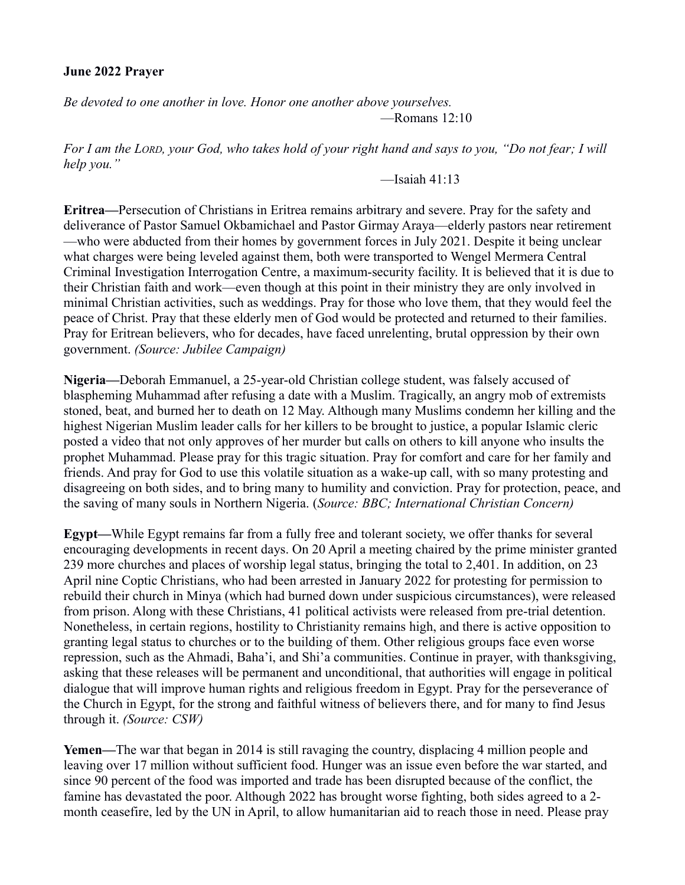## **June 2022 Prayer**

*Be devoted to one another in love. Honor one another above yourselves.* —Romans 12:10

*For I am the LORD, your God, who takes hold of your right hand and says to you, "Do not fear; I will help you."*

 $-$ Isaiah 41:13

**Eritrea—**Persecution of Christians in Eritrea remains arbitrary and severe. Pray for the safety and deliverance of Pastor Samuel Okbamichael and Pastor Girmay Araya—elderly pastors near retirement —who were abducted from their homes by government forces in July 2021. Despite it being unclear what charges were being leveled against them, both were transported to Wengel Mermera Central Criminal Investigation Interrogation Centre, a maximum-security facility. It is believed that it is due to their Christian faith and work—even though at this point in their ministry they are only involved in minimal Christian activities, such as weddings. Pray for those who love them, that they would feel the peace of Christ. Pray that these elderly men of God would be protected and returned to their families. Pray for Eritrean believers, who for decades, have faced unrelenting, brutal oppression by their own government. *(Source: Jubilee Campaign)*

**Nigeria—**Deborah Emmanuel, a 25-year-old Christian college student, was falsely accused of blaspheming Muhammad after refusing a date with a Muslim. Tragically, an angry mob of extremists stoned, beat, and burned her to death on 12 May. Although many Muslims condemn her killing and the highest Nigerian Muslim leader calls for her killers to be brought to justice, a popular Islamic cleric posted a video that not only approves of her murder but calls on others to kill anyone who insults the prophet Muhammad. Please pray for this tragic situation. Pray for comfort and care for her family and friends. And pray for God to use this volatile situation as a wake-up call, with so many protesting and disagreeing on both sides, and to bring many to humility and conviction. Pray for protection, peace, and the saving of many souls in Northern Nigeria. (*Source: BBC; International Christian Concern)*

**Egypt—**While Egypt remains far from a fully free and tolerant society, we offer thanks for several encouraging developments in recent days. On 20 April a meeting chaired by the prime minister granted 239 more churches and places of worship legal status, bringing the total to 2,401. In addition, on 23 April nine Coptic Christians, who had been arrested in January 2022 for protesting for permission to rebuild their church in Minya (which had burned down under suspicious circumstances), were released from prison. Along with these Christians, 41 political activists were released from pre-trial detention. Nonetheless, in certain regions, hostility to Christianity remains high, and there is active opposition to granting legal status to churches or to the building of them. Other religious groups face even worse repression, such as the Ahmadi, Baha'i, and Shi'a communities. Continue in prayer, with thanksgiving, asking that these releases will be permanent and unconditional, that authorities will engage in political dialogue that will improve human rights and religious freedom in Egypt. Pray for the perseverance of the Church in Egypt, for the strong and faithful witness of believers there, and for many to find Jesus through it. *(Source: CSW)*

**Yemen—**The war that began in 2014 is still ravaging the country, displacing 4 million people and leaving over 17 million without sufficient food. Hunger was an issue even before the war started, and since 90 percent of the food was imported and trade has been disrupted because of the conflict, the famine has devastated the poor. Although 2022 has brought worse fighting, both sides agreed to a 2 month ceasefire, led by the UN in April, to allow humanitarian aid to reach those in need. Please pray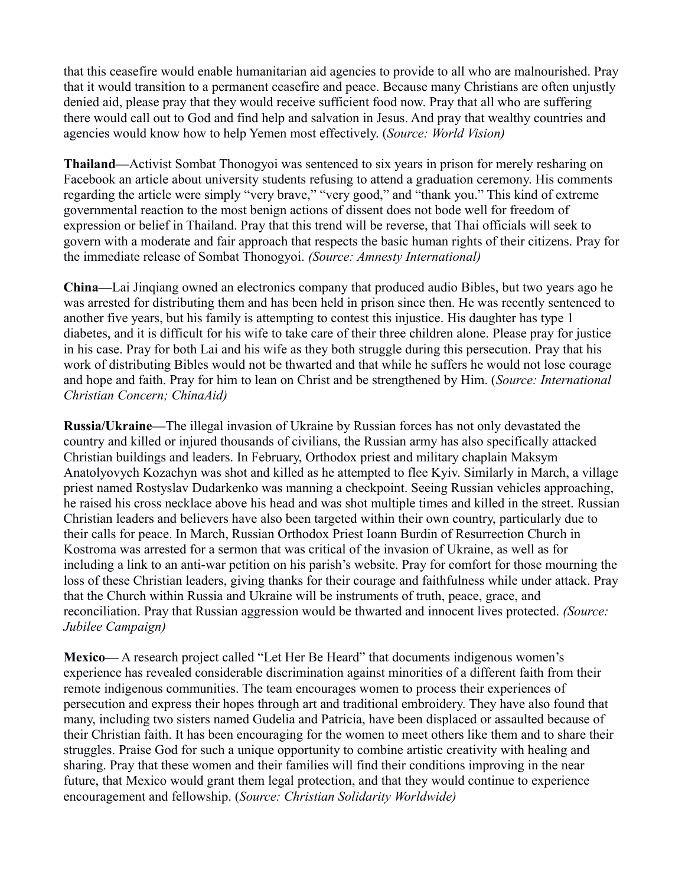that this ceasefire would enable humanitarian aid agencies to provide to all who are malnourished. Pray that it would transition to a permanent ceasefire and peace. Because many Christians are often unjustly denied aid, please pray that they would receive sufficient food now. Pray that all who are suffering there would call out to God and find help and salvation in Jesus. And pray that wealthy countries and agencies would know how to help Yemen most effectively. (*Source: World Vision)*

**Thailand—**Activist Sombat Thonogyoi was sentenced to six years in prison for merely resharing on Facebook an article about university students refusing to attend a graduation ceremony. His comments regarding the article were simply "very brave," "very good," and "thank you." This kind of extreme governmental reaction to the most benign actions of dissent does not bode well for freedom of expression or belief in Thailand. Pray that this trend will be reverse, that Thai officials will seek to govern with a moderate and fair approach that respects the basic human rights of their citizens. Pray for the immediate release of Sombat Thonogyoi. *(Source: Amnesty International)*

**China—**Lai Jinqiang owned an electronics company that produced audio Bibles, but two years ago he was arrested for distributing them and has been held in prison since then. He was recently sentenced to another five years, but his family is attempting to contest this injustice. His daughter has type 1 diabetes, and it is difficult for his wife to take care of their three children alone. Please pray for justice in his case. Pray for both Lai and his wife as they both struggle during this persecution. Pray that his work of distributing Bibles would not be thwarted and that while he suffers he would not lose courage and hope and faith. Pray for him to lean on Christ and be strengthened by Him. (*Source: International Christian Concern; ChinaAid)*

**Russia/Ukraine—**The illegal invasion of Ukraine by Russian forces has not only devastated the country and killed or injured thousands of civilians, the Russian army has also specifically attacked Christian buildings and leaders. In February, Orthodox priest and military chaplain Maksym Anatolyovych Kozachyn was shot and killed as he attempted to flee Kyiv. Similarly in March, a village priest named Rostyslav Dudarkenko was manning a checkpoint. Seeing Russian vehicles approaching, he raised his cross necklace above his head and was shot multiple times and killed in the street. Russian Christian leaders and believers have also been targeted within their own country, particularly due to their calls for peace. In March, Russian Orthodox Priest Ioann Burdin of Resurrection Church in Kostroma was arrested for a sermon that was critical of the invasion of Ukraine, as well as for including a link to an anti-war petition on his parish's website. Pray for comfort for those mourning the loss of these Christian leaders, giving thanks for their courage and faithfulness while under attack. Pray that the Church within Russia and Ukraine will be instruments of truth, peace, grace, and reconciliation. Pray that Russian aggression would be thwarted and innocent lives protected. *(Source: Jubilee Campaign)*

**Mexico—** A research project called "Let Her Be Heard" that documents indigenous women's experience has revealed considerable discrimination against minorities of a different faith from their remote indigenous communities. The team encourages women to process their experiences of persecution and express their hopes through art and traditional embroidery. They have also found that many, including two sisters named Gudelia and Patricia, have been displaced or assaulted because of their Christian faith. It has been encouraging for the women to meet others like them and to share their struggles. Praise God for such a unique opportunity to combine artistic creativity with healing and sharing. Pray that these women and their families will find their conditions improving in the near future, that Mexico would grant them legal protection, and that they would continue to experience encouragement and fellowship. (*Source: Christian Solidarity Worldwide)*